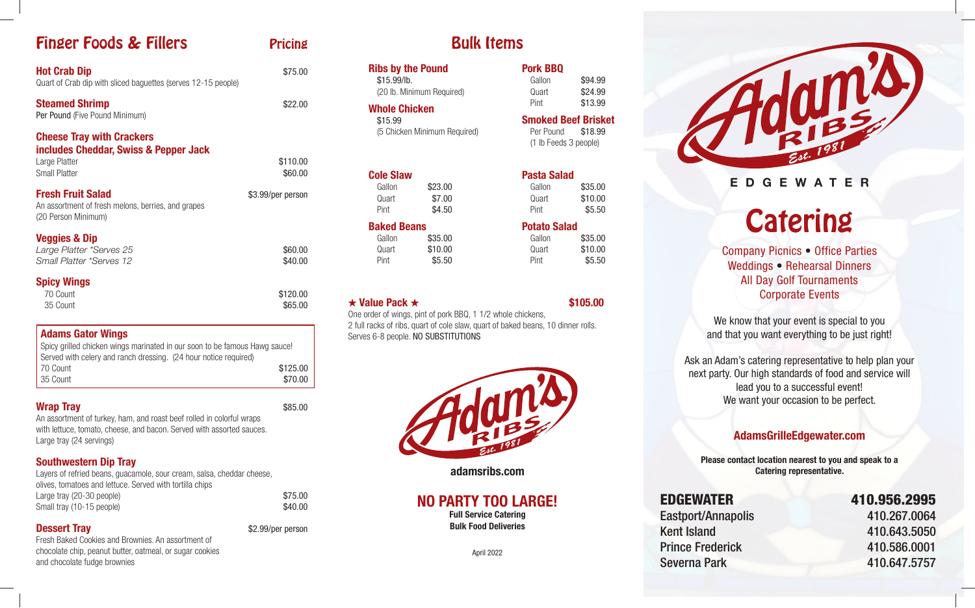# **Finger Foods & Fillers Pricing**

| <b>Hot Crab Dip</b><br>Quart of Crab dip with sliced baguettes (serves 12-15 people)                               | \$75.00             |
|--------------------------------------------------------------------------------------------------------------------|---------------------|
| <b>Steamed Shrimp</b><br>Per Pound (Five Pound Minimum)                                                            | \$22.00             |
| <b>Cheese Tray with Crackers</b><br>includes Cheddar, Swiss & Pepper Jack<br>Large Platter<br><b>Small Platter</b> | \$110.00<br>\$60.00 |
| <b>Fresh Fruit Salad</b><br>An assortment of fresh melons, berries, and grapes<br>(20 Person Minimum)              | \$3.99/per person   |
| <b>Veggies &amp; Dip</b><br>Large Platter *Serves 25<br>Small Platter *Serves 12                                   | \$60.00<br>\$40.00  |
| <b>Spicy Wings</b><br>70 Count<br>35 Count                                                                         | \$120.00<br>\$65.00 |

#### Adams Gator Wings

Spicy grilled chicken wings marinated in our soon to be famous Hawg sauce! Served with celery and ranch dressing. (24 hour notice required) 70 Count \$125.00 35 Count \$70.00

## Wrap Trav **S85.00**

An assortment of turkey, ham, and roast beef rolled in colorful wraps with lettuce, tomato, cheese, and bacon. Served with assorted sauces. Large tray (24 servings)

### Southwestern Dip Tray

| Layers of refried beans, guacamole, sour cream, salsa, cheddar cheese, |         |
|------------------------------------------------------------------------|---------|
| olives, tomatoes and lettuce. Served with tortilla chips               |         |
| Large tray (20-30 people)                                              | \$75.00 |
| Small tray (10-15 people)                                              | \$40.00 |
|                                                                        |         |

## **Dessert Tray** \$2.99/per person

Fresh Baked Cookies and Brownies. An assortment of chocolate chip, peanut butter, oatmeal, or sugar cookies and chocolate fudge brownies

|  | <b>Bulk Items</b> |
|--|-------------------|
|--|-------------------|

| <b>Ribs by the Pound</b><br>\$15.99/lb.<br><b>Whole Chicken</b> | (20 lb. Minimum Required)    | <b>Pork BBQ</b><br>Gallon<br>Quart<br>Pint                                  | \$94.99<br>\$24.99<br>\$13.99 |
|-----------------------------------------------------------------|------------------------------|-----------------------------------------------------------------------------|-------------------------------|
| \$15.99<br>(5 Chicken Minimum Required)                         |                              | <b>Smoked Beef Brisket</b><br>\$18.99<br>Per Pound<br>(1 lb Feeds 3 people) |                               |
| <b>Cole Slaw</b><br>Gallon<br>Quart<br>Pint                     | \$23.00<br>\$7.00<br>\$4.50  | Pasta Salad<br>Gallon<br>Quart<br>Pint                                      | \$35.00<br>\$10.00<br>\$5.50  |
| <b>Baked Beans</b><br>Gallon<br>Quart<br>Pint                   | \$35.00<br>\$10.00<br>\$5.50 | <b>Potato Salad</b><br>Gallon<br>Quart<br>Pint                              | \$35.00<br>\$10.00<br>\$5.50  |

 $\star$  Value Pack  $\star$  \$105.00

One order of wings, pint of pork BBQ, 1 1/2 whole chickens, 2 full racks of ribs, quart of cole slaw, quart of baked beans, 10 dinner rolls. Serves 6-8 people. NO SUBSTITUTIONS



adamsribs.com

## NO PARTY TOO LARGE!

Full Service Catering Bulk Food Deliveries

April 2022



## EDGEWATER

**Catering** 

Company Picnics • Office Parties Weddings • Rehearsal Dinners All Day Golf Tournaments Corporate Events

We know that your event is special to you and that you want everything to be just right!

Ask an Adam's catering representative to help plan your next party. Our high standards of food and service will lead you to a successful event! We want your occasion to be perfect.

## AdamsGrilleEdgewater.com

Please contact location nearest to you and speak to a Catering representative.

Eastport/Annapolis 410.267.0064 Kent Island 410.643.5050 Prince Frederick 410.586.0001 Severna Park 410.647.5757

# EDGEWATER 410.956.2995